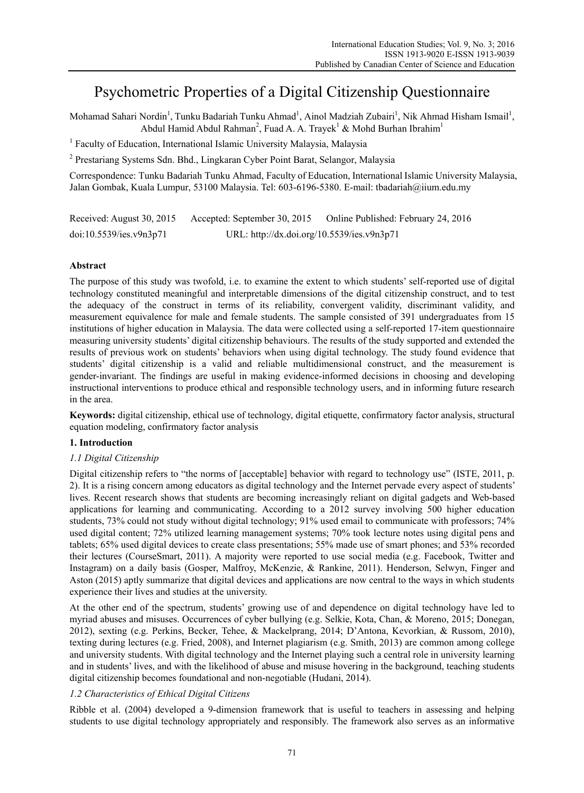# Psychometric Properties of a Digital Citizenship Questionnaire

Mohamad Sahari Nordin<sup>1</sup>, Tunku Badariah Tunku Ahmad<sup>1</sup>, Ainol Madziah Zubairi<sup>1</sup>, Nik Ahmad Hisham Ismail<sup>1</sup>, Abdul Hamid Abdul Rahman<sup>2</sup>, Fuad A. A. Trayek<sup>1</sup> & Mohd Burhan Ibrahim<sup>1</sup>

<sup>1</sup> Faculty of Education, International Islamic University Malaysia, Malaysia

<sup>2</sup> Prestariang Systems Sdn. Bhd., Lingkaran Cyber Point Barat, Selangor, Malaysia

Correspondence: Tunku Badariah Tunku Ahmad, Faculty of Education, International Islamic University Malaysia, Jalan Gombak, Kuala Lumpur, 53100 Malaysia. Tel: 603-6196-5380. E-mail: tbadariah@iium.edu.my

| Received: August 30, 2015 | Accepted: September 30, 2015               | Online Published: February 24, 2016 |
|---------------------------|--------------------------------------------|-------------------------------------|
| doi:10.5539/ies.v9n3p71   | URL: http://dx.doi.org/10.5539/ies.v9n3p71 |                                     |

# **Abstract**

The purpose of this study was twofold, i.e. to examine the extent to which students' self-reported use of digital technology constituted meaningful and interpretable dimensions of the digital citizenship construct, and to test the adequacy of the construct in terms of its reliability, convergent validity, discriminant validity, and measurement equivalence for male and female students. The sample consisted of 391 undergraduates from 15 institutions of higher education in Malaysia. The data were collected using a self-reported 17-item questionnaire measuring university students' digital citizenship behaviours. The results of the study supported and extended the results of previous work on students' behaviors when using digital technology. The study found evidence that students' digital citizenship is a valid and reliable multidimensional construct, and the measurement is gender-invariant. The findings are useful in making evidence-informed decisions in choosing and developing instructional interventions to produce ethical and responsible technology users, and in informing future research in the area.

**Keywords:** digital citizenship, ethical use of technology, digital etiquette, confirmatory factor analysis, structural equation modeling, confirmatory factor analysis

# **1. Introduction**

# *1.1 Digital Citizenship*

Digital citizenship refers to "the norms of [acceptable] behavior with regard to technology use" (ISTE, 2011, p. 2). It is a rising concern among educators as digital technology and the Internet pervade every aspect of students' lives. Recent research shows that students are becoming increasingly reliant on digital gadgets and Web-based applications for learning and communicating. According to a 2012 survey involving 500 higher education students, 73% could not study without digital technology; 91% used email to communicate with professors; 74% used digital content; 72% utilized learning management systems; 70% took lecture notes using digital pens and tablets; 65% used digital devices to create class presentations; 55% made use of smart phones; and 53% recorded their lectures (CourseSmart, 2011). A majority were reported to use social media (e.g. Facebook, Twitter and Instagram) on a daily basis (Gosper, Malfroy, McKenzie, & Rankine, 2011). Henderson, Selwyn, Finger and Aston (2015) aptly summarize that digital devices and applications are now central to the ways in which students experience their lives and studies at the university.

At the other end of the spectrum, students' growing use of and dependence on digital technology have led to myriad abuses and misuses. Occurrences of cyber bullying (e.g. Selkie, Kota, Chan, & Moreno, 2015; Donegan, 2012), sexting (e.g. Perkins, Becker, Tehee, & Mackelprang, 2014; D'Antona, Kevorkian, & Russom, 2010), texting during lectures (e.g. Fried, 2008), and Internet plagiarism (e.g. Smith, 2013) are common among college and university students. With digital technology and the Internet playing such a central role in university learning and in students' lives, and with the likelihood of abuse and misuse hovering in the background, teaching students digital citizenship becomes foundational and non-negotiable (Hudani, 2014).

# *1.2 Characteristics of Ethical Digital Citizens*

Ribble et al. (2004) developed a 9-dimension framework that is useful to teachers in assessing and helping students to use digital technology appropriately and responsibly. The framework also serves as an informative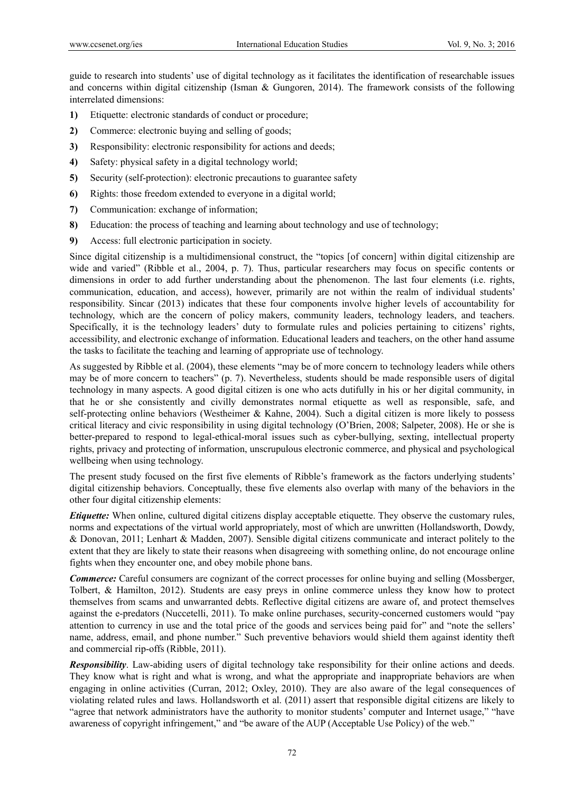guide to research into students' use of digital technology as it facilitates the identification of researchable issues and concerns within digital citizenship (Isman & Gungoren, 2014). The framework consists of the following interrelated dimensions:

- **1)** Etiquette: electronic standards of conduct or procedure;
- **2)** Commerce: electronic buying and selling of goods;
- **3)** Responsibility: electronic responsibility for actions and deeds;
- **4)** Safety: physical safety in a digital technology world;
- **5)** Security (self-protection): electronic precautions to guarantee safety
- **6)** Rights: those freedom extended to everyone in a digital world;
- **7)** Communication: exchange of information;
- **8)** Education: the process of teaching and learning about technology and use of technology;
- **9)** Access: full electronic participation in society.

Since digital citizenship is a multidimensional construct, the "topics [of concern] within digital citizenship are wide and varied" (Ribble et al., 2004, p. 7). Thus, particular researchers may focus on specific contents or dimensions in order to add further understanding about the phenomenon. The last four elements (i.e. rights, communication, education, and access), however, primarily are not within the realm of individual students' responsibility. Sincar (2013) indicates that these four components involve higher levels of accountability for technology, which are the concern of policy makers, community leaders, technology leaders, and teachers. Specifically, it is the technology leaders' duty to formulate rules and policies pertaining to citizens' rights, accessibility, and electronic exchange of information. Educational leaders and teachers, on the other hand assume the tasks to facilitate the teaching and learning of appropriate use of technology.

As suggested by Ribble et al. (2004), these elements "may be of more concern to technology leaders while others may be of more concern to teachers" (p. 7). Nevertheless, students should be made responsible users of digital technology in many aspects. A good digital citizen is one who acts dutifully in his or her digital community, in that he or she consistently and civilly demonstrates normal etiquette as well as responsible, safe, and self-protecting online behaviors (Westheimer & Kahne, 2004). Such a digital citizen is more likely to possess critical literacy and civic responsibility in using digital technology (O'Brien, 2008; Salpeter, 2008). He or she is better-prepared to respond to legal-ethical-moral issues such as cyber-bullying, sexting, intellectual property rights, privacy and protecting of information, unscrupulous electronic commerce, and physical and psychological wellbeing when using technology.

The present study focused on the first five elements of Ribble's framework as the factors underlying students' digital citizenship behaviors. Conceptually, these five elements also overlap with many of the behaviors in the other four digital citizenship elements:

*Etiquette:* When online, cultured digital citizens display acceptable etiquette. They observe the customary rules, norms and expectations of the virtual world appropriately, most of which are unwritten (Hollandsworth, Dowdy, & Donovan, 2011; Lenhart & Madden, 2007). Sensible digital citizens communicate and interact politely to the extent that they are likely to state their reasons when disagreeing with something online, do not encourage online fights when they encounter one, and obey mobile phone bans.

*Commerce:* Careful consumers are cognizant of the correct processes for online buying and selling (Mossberger, Tolbert, & Hamilton, 2012). Students are easy preys in online commerce unless they know how to protect themselves from scams and unwarranted debts. Reflective digital citizens are aware of, and protect themselves against the e-predators (Nuccetelli, 2011). To make online purchases, security-concerned customers would "pay attention to currency in use and the total price of the goods and services being paid for" and "note the sellers' name, address, email, and phone number." Such preventive behaviors would shield them against identity theft and commercial rip-offs (Ribble, 2011).

*Responsibility*. Law-abiding users of digital technology take responsibility for their online actions and deeds. They know what is right and what is wrong, and what the appropriate and inappropriate behaviors are when engaging in online activities (Curran, 2012; Oxley, 2010). They are also aware of the legal consequences of violating related rules and laws. Hollandsworth et al. (2011) assert that responsible digital citizens are likely to "agree that network administrators have the authority to monitor students' computer and Internet usage," "have awareness of copyright infringement," and "be aware of the AUP (Acceptable Use Policy) of the web."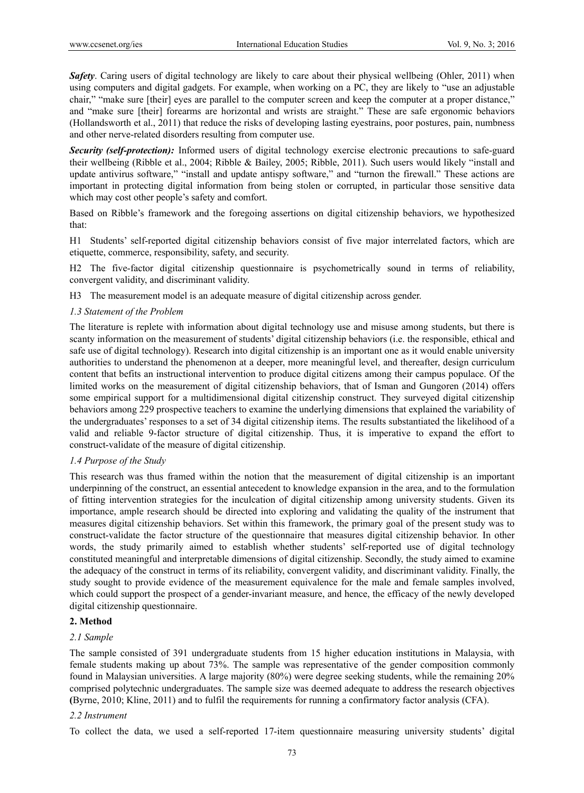*Safety*. Caring users of digital technology are likely to care about their physical wellbeing (Ohler, 2011) when using computers and digital gadgets. For example, when working on a PC, they are likely to "use an adjustable chair," "make sure [their] eyes are parallel to the computer screen and keep the computer at a proper distance," and "make sure [their] forearms are horizontal and wrists are straight." These are safe ergonomic behaviors (Hollandsworth et al., 2011) that reduce the risks of developing lasting eyestrains, poor postures, pain, numbness and other nerve-related disorders resulting from computer use.

*Security (self-protection):* Informed users of digital technology exercise electronic precautions to safe-guard their wellbeing (Ribble et al., 2004; Ribble & Bailey, 2005; Ribble, 2011). Such users would likely "install and update antivirus software," "install and update antispy software," and "turnon the firewall." These actions are important in protecting digital information from being stolen or corrupted, in particular those sensitive data which may cost other people's safety and comfort.

Based on Ribble's framework and the foregoing assertions on digital citizenship behaviors, we hypothesized that:

H1 Students' self-reported digital citizenship behaviors consist of five major interrelated factors, which are etiquette, commerce, responsibility, safety, and security.

H2 The five-factor digital citizenship questionnaire is psychometrically sound in terms of reliability, convergent validity, and discriminant validity.

H3 The measurement model is an adequate measure of digital citizenship across gender.

#### *1.3 Statement of the Problem*

The literature is replete with information about digital technology use and misuse among students, but there is scanty information on the measurement of students' digital citizenship behaviors (i.e. the responsible, ethical and safe use of digital technology). Research into digital citizenship is an important one as it would enable university authorities to understand the phenomenon at a deeper, more meaningful level, and thereafter, design curriculum content that befits an instructional intervention to produce digital citizens among their campus populace. Of the limited works on the measurement of digital citizenship behaviors, that of Isman and Gungoren (2014) offers some empirical support for a multidimensional digital citizenship construct. They surveyed digital citizenship behaviors among 229 prospective teachers to examine the underlying dimensions that explained the variability of the undergraduates' responses to a set of 34 digital citizenship items. The results substantiated the likelihood of a valid and reliable 9-factor structure of digital citizenship. Thus, it is imperative to expand the effort to construct-validate of the measure of digital citizenship.

#### *1.4 Purpose of the Study*

This research was thus framed within the notion that the measurement of digital citizenship is an important underpinning of the construct, an essential antecedent to knowledge expansion in the area, and to the formulation of fitting intervention strategies for the inculcation of digital citizenship among university students. Given its importance, ample research should be directed into exploring and validating the quality of the instrument that measures digital citizenship behaviors. Set within this framework, the primary goal of the present study was to construct-validate the factor structure of the questionnaire that measures digital citizenship behavior. In other words, the study primarily aimed to establish whether students' self-reported use of digital technology constituted meaningful and interpretable dimensions of digital citizenship. Secondly, the study aimed to examine the adequacy of the construct in terms of its reliability, convergent validity, and discriminant validity. Finally, the study sought to provide evidence of the measurement equivalence for the male and female samples involved, which could support the prospect of a gender-invariant measure, and hence, the efficacy of the newly developed digital citizenship questionnaire.

#### **2. Method**

#### *2.1 Sample*

The sample consisted of 391 undergraduate students from 15 higher education institutions in Malaysia, with female students making up about 73%. The sample was representative of the gender composition commonly found in Malaysian universities. A large majority (80%) were degree seeking students, while the remaining 20% comprised polytechnic undergraduates. The sample size was deemed adequate to address the research objectives **(**Byrne, 2010; Kline, 2011) and to fulfil the requirements for running a confirmatory factor analysis (CFA).

#### *2.2 Instrument*

To collect the data, we used a self-reported 17-item questionnaire measuring university students' digital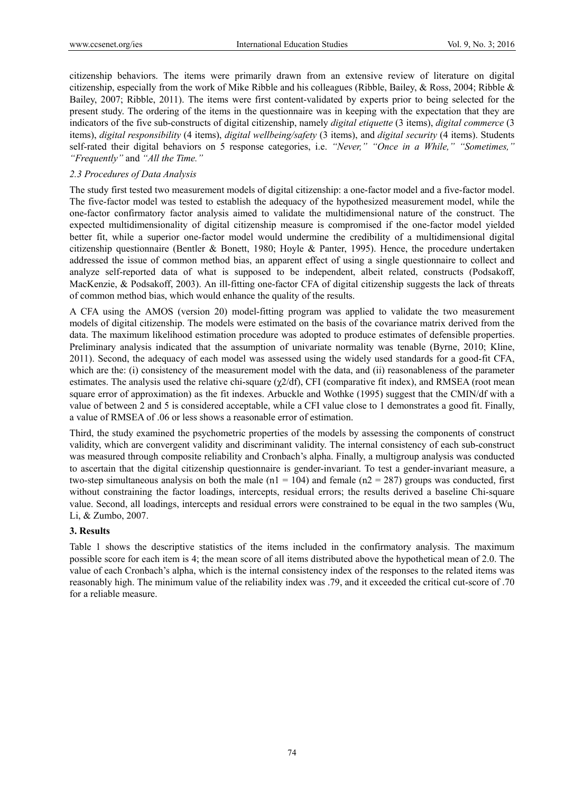citizenship behaviors. The items were primarily drawn from an extensive review of literature on digital citizenship, especially from the work of Mike Ribble and his colleagues (Ribble, Bailey, & Ross, 2004; Ribble & Bailey, 2007; Ribble, 2011). The items were first content-validated by experts prior to being selected for the present study. The ordering of the items in the questionnaire was in keeping with the expectation that they are indicators of the five sub-constructs of digital citizenship, namely *digital etiquette* (3 items), *digital commerce* (3 items), *digital responsibility* (4 items), *digital wellbeing/safety* (3 items), and *digital security* (4 items). Students self-rated their digital behaviors on 5 response categories, i.e. *"Never," "Once in a While," "Sometimes," "Frequently"* and *"All the Time."* 

#### *2.3 Procedures of Data Analysis*

The study first tested two measurement models of digital citizenship: a one-factor model and a five-factor model. The five-factor model was tested to establish the adequacy of the hypothesized measurement model, while the one-factor confirmatory factor analysis aimed to validate the multidimensional nature of the construct. The expected multidimensionality of digital citizenship measure is compromised if the one-factor model yielded better fit, while a superior one-factor model would undermine the credibility of a multidimensional digital citizenship questionnaire (Bentler & Bonett, 1980; Hoyle & Panter, 1995). Hence, the procedure undertaken addressed the issue of common method bias, an apparent effect of using a single questionnaire to collect and analyze self-reported data of what is supposed to be independent, albeit related, constructs (Podsakoff, MacKenzie, & Podsakoff, 2003). An ill-fitting one-factor CFA of digital citizenship suggests the lack of threats of common method bias, which would enhance the quality of the results.

A CFA using the AMOS (version 20) model-fitting program was applied to validate the two measurement models of digital citizenship. The models were estimated on the basis of the covariance matrix derived from the data. The maximum likelihood estimation procedure was adopted to produce estimates of defensible properties. Preliminary analysis indicated that the assumption of univariate normality was tenable (Byrne, 2010; Kline, 2011). Second, the adequacy of each model was assessed using the widely used standards for a good-fit CFA, which are the: (i) consistency of the measurement model with the data, and (ii) reasonableness of the parameter estimates. The analysis used the relative chi-square  $(\chi/2/df)$ , CFI (comparative fit index), and RMSEA (root mean square error of approximation) as the fit indexes. Arbuckle and Wothke (1995) suggest that the CMIN/df with a value of between 2 and 5 is considered acceptable, while a CFI value close to 1 demonstrates a good fit. Finally, a value of RMSEA of .06 or less shows a reasonable error of estimation.

Third, the study examined the psychometric properties of the models by assessing the components of construct validity, which are convergent validity and discriminant validity. The internal consistency of each sub-construct was measured through composite reliability and Cronbach's alpha. Finally, a multigroup analysis was conducted to ascertain that the digital citizenship questionnaire is gender-invariant. To test a gender-invariant measure, a two-step simultaneous analysis on both the male ( $n1 = 104$ ) and female ( $n2 = 287$ ) groups was conducted, first without constraining the factor loadings, intercepts, residual errors; the results derived a baseline Chi-square value. Second, all loadings, intercepts and residual errors were constrained to be equal in the two samples (Wu, Li, & Zumbo, 2007.

# **3. Results**

Table 1 shows the descriptive statistics of the items included in the confirmatory analysis. The maximum possible score for each item is 4; the mean score of all items distributed above the hypothetical mean of 2.0. The value of each Cronbach's alpha, which is the internal consistency index of the responses to the related items was reasonably high. The minimum value of the reliability index was .79, and it exceeded the critical cut-score of .70 for a reliable measure.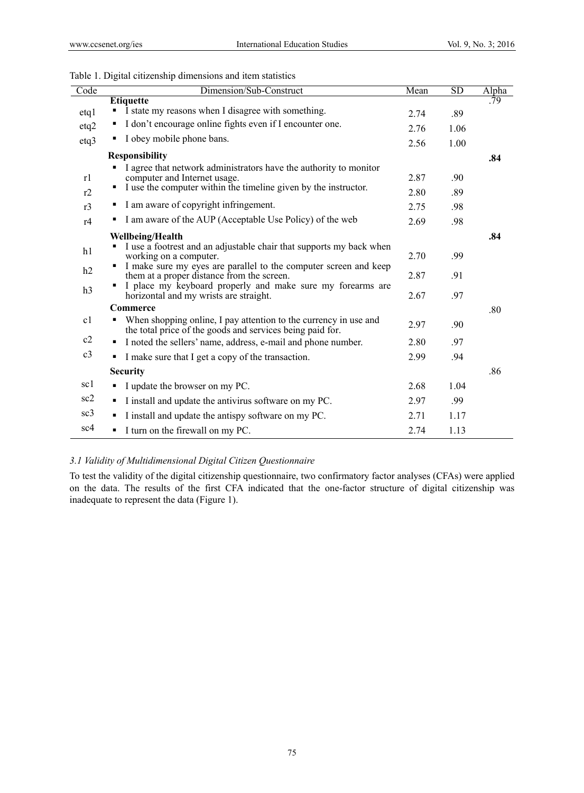|  | Table 1. Digital citizenship dimensions and item statistics |  |  |
|--|-------------------------------------------------------------|--|--|
|  |                                                             |  |  |

| Code           | Dimension/Sub-Construct                                                                                                       | Mean | SD   | Alpha |
|----------------|-------------------------------------------------------------------------------------------------------------------------------|------|------|-------|
|                | <b>Etiquette</b>                                                                                                              |      |      | .79   |
| eta1           | I state my reasons when I disagree with something.                                                                            | 2.74 | .89  |       |
| eta2           | I don't encourage online fights even if I encounter one.                                                                      | 2.76 | 1.06 |       |
| eta3           | I obey mobile phone bans.<br>٠                                                                                                | 2.56 | 1.00 |       |
|                | <b>Responsibility</b>                                                                                                         |      |      | .84   |
|                | I agree that network administrators have the authority to monitor                                                             |      |      |       |
| r1             | computer and Internet usage.                                                                                                  | 2.87 | .90  |       |
| r2             | I use the computer within the timeline given by the instructor.                                                               | 2.80 | .89  |       |
| r3             | I am aware of copyright infringement.<br>٠                                                                                    | 2.75 | .98  |       |
| r4             | I am aware of the AUP (Acceptable Use Policy) of the web<br>٠                                                                 | 2.69 | .98  |       |
|                | Wellbeing/Health                                                                                                              |      |      | .84   |
| h1             | I use a footrest and an adjustable chair that supports my back when<br>working on a computer.                                 | 2.70 | .99  |       |
| h2             | I make sure my eyes are parallel to the computer screen and keep<br>them at a proper distance from the screen.                | 2.87 | .91  |       |
| h <sub>3</sub> | I place my keyboard properly and make sure my forearms are<br>horizontal and my wrists are straight.                          | 2.67 | .97  |       |
|                | Commerce                                                                                                                      |      |      | .80   |
| c1             | When shopping online, I pay attention to the currency in use and<br>the total price of the goods and services being paid for. | 2.97 | .90  |       |
| c2             | I noted the sellers' name, address, e-mail and phone number.<br>٠                                                             | 2.80 | .97  |       |
| c <sub>3</sub> | I make sure that I get a copy of the transaction.<br>٠                                                                        | 2.99 | .94  |       |
|                | <b>Security</b>                                                                                                               |      |      | .86   |
| sc1            | I update the browser on my PC.<br>٠                                                                                           | 2.68 | 1.04 |       |
| sc2            | I install and update the antivirus software on my PC.<br>٠                                                                    | 2.97 | .99  |       |
| sc3            | I install and update the antispy software on my PC.<br>٠                                                                      | 2.71 | 1.17 |       |
| sc4            | I turn on the firewall on my PC.<br>٠                                                                                         | 2.74 | 1.13 |       |

# *3.1 Validity of Multidimensional Digital Citizen Questionnaire*

To test the validity of the digital citizenship questionnaire, two confirmatory factor analyses (CFAs) were applied on the data. The results of the first CFA indicated that the one-factor structure of digital citizenship was inadequate to represent the data (Figure 1).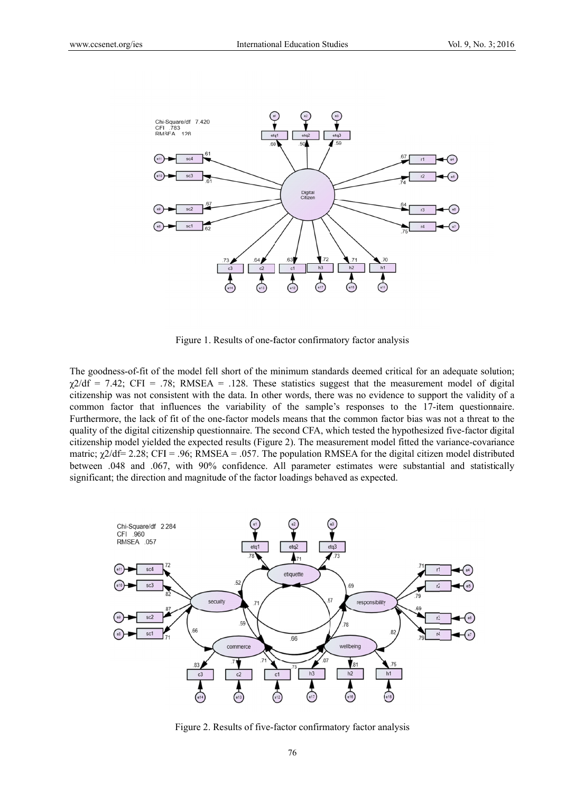

Figure 1. Results of one-factor confirmatory factor analysis

The goodness-of-fit of the model fell short of the minimum standards deemed critical for an adequate solution;  $\chi$ 2/df = 7.42; CFI = .78; RMSEA = .128. These statistics suggest that the measurement model of digital citizenship was not consistent with the data. In other words, there was no evidence to support the validity of a common factor that influences the variability of the sample's responses to the 17-item questionnaire. Furthermore, the lack of fit of the one-factor models means that the common factor bias was not a threat to the quality of the digital citizenship questionnaire. The second CFA, which tested the hypothesized five-factor digital citizenship model yielded the expected results (Figure 2). The measurement model fitted the variance-covariance matric;  $\chi$ 2/df= 2.28; CFI = .96; RMSEA = .057. The population RMSEA for the digital citizen model distributed between .048 and .067, with 90% confidence. All parameter estimates were substantial and statistically significant; the direction and magnitude of the factor loadings behaved as expected.



Figure 2. Results of five-factor confirmatory factor analysis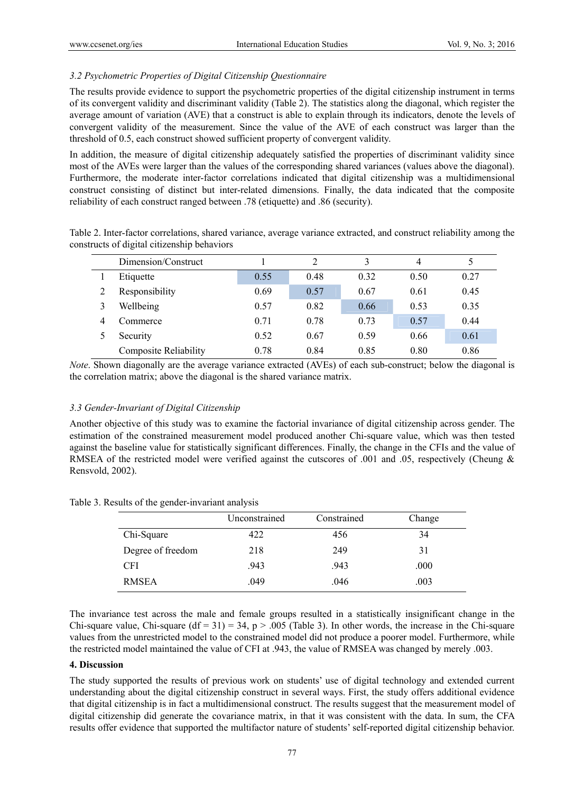# *3.2 Psychometric Properties of Digital Citizenship Questionnaire*

The results provide evidence to support the psychometric properties of the digital citizenship instrument in terms of its convergent validity and discriminant validity (Table 2). The statistics along the diagonal, which register the average amount of variation (AVE) that a construct is able to explain through its indicators, denote the levels of convergent validity of the measurement. Since the value of the AVE of each construct was larger than the threshold of 0.5, each construct showed sufficient property of convergent validity.

In addition, the measure of digital citizenship adequately satisfied the properties of discriminant validity since most of the AVEs were larger than the values of the corresponding shared variances (values above the diagonal). Furthermore, the moderate inter-factor correlations indicated that digital citizenship was a multidimensional construct consisting of distinct but inter-related dimensions. Finally, the data indicated that the composite reliability of each construct ranged between .78 (etiquette) and .86 (security).

Table 2. Inter-factor correlations, shared variance, average variance extracted, and construct reliability among the constructs of digital citizenship behaviors

|   | Dimension/Construct          |      |      |      | 4    |      |
|---|------------------------------|------|------|------|------|------|
|   | Etiquette                    | 0.55 | 0.48 | 0.32 | 0.50 | 0.27 |
|   | Responsibility               | 0.69 | 0.57 | 0.67 | 0.61 | 0.45 |
|   | Wellbeing                    | 0.57 | 0.82 | 0.66 | 0.53 | 0.35 |
| 4 | Commerce                     | 0.71 | 0.78 | 0.73 | 0.57 | 0.44 |
|   | Security                     | 0.52 | 0.67 | 0.59 | 0.66 | 0.61 |
|   | <b>Composite Reliability</b> | 0.78 | 0.84 | 0.85 | 0.80 | 0.86 |

*Note*. Shown diagonally are the average variance extracted (AVEs) of each sub-construct; below the diagonal is the correlation matrix; above the diagonal is the shared variance matrix.

### *3.3 Gender-Invariant of Digital Citizenship*

Another objective of this study was to examine the factorial invariance of digital citizenship across gender. The estimation of the constrained measurement model produced another Chi-square value, which was then tested against the baseline value for statistically significant differences. Finally, the change in the CFIs and the value of RMSEA of the restricted model were verified against the cutscores of .001 and .05, respectively (Cheung & Rensvold, 2002).

Table 3. Results of the gender-invariant analysis

|                   | Unconstrained | Constrained | Change |
|-------------------|---------------|-------------|--------|
| Chi-Square        | 422           | 456         | 34     |
| Degree of freedom | 218           | 249         | 31     |
| CFI               | .943          | .943        | .000   |
| <b>RMSEA</b>      | .049          | .046        | .003   |

The invariance test across the male and female groups resulted in a statistically insignificant change in the Chi-square value, Chi-square (df =  $31$ ) =  $34$ , p > .005 (Table 3). In other words, the increase in the Chi-square values from the unrestricted model to the constrained model did not produce a poorer model. Furthermore, while the restricted model maintained the value of CFI at .943, the value of RMSEA was changed by merely .003.

#### **4. Discussion**

The study supported the results of previous work on students' use of digital technology and extended current understanding about the digital citizenship construct in several ways. First, the study offers additional evidence that digital citizenship is in fact a multidimensional construct. The results suggest that the measurement model of digital citizenship did generate the covariance matrix, in that it was consistent with the data. In sum, the CFA results offer evidence that supported the multifactor nature of students' self-reported digital citizenship behavior.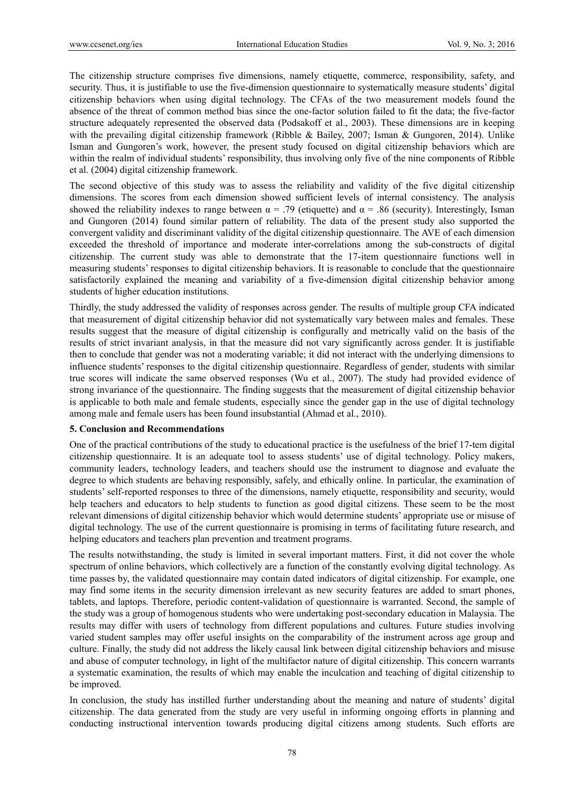The citizenship structure comprises five dimensions, namely etiquette, commerce, responsibility, safety, and security. Thus, it is justifiable to use the five-dimension questionnaire to systematically measure students' digital citizenship behaviors when using digital technology. The CFAs of the two measurement models found the absence of the threat of common method bias since the one-factor solution failed to fit the data; the five-factor structure adequately represented the observed data (Podsakoff et al., 2003). These dimensions are in keeping with the prevailing digital citizenship framework (Ribble & Bailey, 2007; Isman & Gungoren, 2014). Unlike Isman and Gungoren's work, however, the present study focused on digital citizenship behaviors which are within the realm of individual students' responsibility, thus involving only five of the nine components of Ribble et al. (2004) digital citizenship framework.

The second objective of this study was to assess the reliability and validity of the five digital citizenship dimensions. The scores from each dimension showed sufficient levels of internal consistency. The analysis showed the reliability indexes to range between  $\alpha = .79$  (etiquette) and  $\alpha = .86$  (security). Interestingly, Isman and Gungoren (2014) found similar pattern of reliability. The data of the present study also supported the convergent validity and discriminant validity of the digital citizenship questionnaire. The AVE of each dimension exceeded the threshold of importance and moderate inter-correlations among the sub-constructs of digital citizenship. The current study was able to demonstrate that the 17-item questionnaire functions well in measuring students' responses to digital citizenship behaviors. It is reasonable to conclude that the questionnaire satisfactorily explained the meaning and variability of a five-dimension digital citizenship behavior among students of higher education institutions.

Thirdly, the study addressed the validity of responses across gender. The results of multiple group CFA indicated that measurement of digital citizenship behavior did not systematically vary between males and females. These results suggest that the measure of digital citizenship is configurally and metrically valid on the basis of the results of strict invariant analysis, in that the measure did not vary significantly across gender. It is justifiable then to conclude that gender was not a moderating variable; it did not interact with the underlying dimensions to influence students' responses to the digital citizenship questionnaire. Regardless of gender, students with similar true scores will indicate the same observed responses (Wu et al., 2007). The study had provided evidence of strong invariance of the questionnaire. The finding suggests that the measurement of digital citizenship behavior is applicable to both male and female students, especially since the gender gap in the use of digital technology among male and female users has been found insubstantial (Ahmad et al., 2010).

#### **5. Conclusion and Recommendations**

One of the practical contributions of the study to educational practice is the usefulness of the brief 17-tem digital citizenship questionnaire. It is an adequate tool to assess students' use of digital technology. Policy makers, community leaders, technology leaders, and teachers should use the instrument to diagnose and evaluate the degree to which students are behaving responsibly, safely, and ethically online. In particular, the examination of students' self-reported responses to three of the dimensions, namely etiquette, responsibility and security, would help teachers and educators to help students to function as good digital citizens. These seem to be the most relevant dimensions of digital citizenship behavior which would determine students' appropriate use or misuse of digital technology. The use of the current questionnaire is promising in terms of facilitating future research, and helping educators and teachers plan prevention and treatment programs.

The results notwithstanding, the study is limited in several important matters. First, it did not cover the whole spectrum of online behaviors, which collectively are a function of the constantly evolving digital technology. As time passes by, the validated questionnaire may contain dated indicators of digital citizenship. For example, one may find some items in the security dimension irrelevant as new security features are added to smart phones, tablets, and laptops. Therefore, periodic content-validation of questionnaire is warranted. Second, the sample of the study was a group of homogenous students who were undertaking post-secondary education in Malaysia. The results may differ with users of technology from different populations and cultures. Future studies involving varied student samples may offer useful insights on the comparability of the instrument across age group and culture. Finally, the study did not address the likely causal link between digital citizenship behaviors and misuse and abuse of computer technology, in light of the multifactor nature of digital citizenship. This concern warrants a systematic examination, the results of which may enable the inculcation and teaching of digital citizenship to be improved.

In conclusion, the study has instilled further understanding about the meaning and nature of students' digital citizenship. The data generated from the study are very useful in informing ongoing efforts in planning and conducting instructional intervention towards producing digital citizens among students. Such efforts are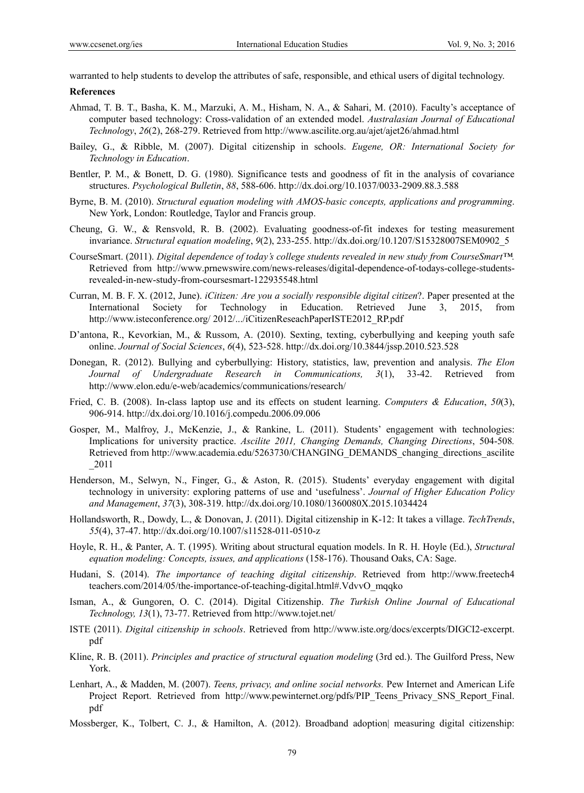warranted to help students to develop the attributes of safe, responsible, and ethical users of digital technology.

#### **References**

- Ahmad, T. B. T., Basha, K. M., Marzuki, A. M., Hisham, N. A., & Sahari, M. (2010). Faculty's acceptance of computer based technology: Cross-validation of an extended model. *Australasian Journal of Educational Technology*, *26*(2), 268-279. Retrieved from http://www.ascilite.org.au/ajet/ajet26/ahmad.html
- Bailey, G., & Ribble, M. (2007). Digital citizenship in schools. *Eugene, OR: International Society for Technology in Education*.
- Bentler, P. M., & Bonett, D. G. (1980). Significance tests and goodness of fit in the analysis of covariance structures. *Psychological Bulletin*, *88*, 588-606. http://dx.doi.org/10.1037/0033-2909.88.3.588
- Byrne, B. M. (2010). *Structural equation modeling with AMOS-basic concepts, applications and programming*. New York, London: Routledge, Taylor and Francis group.
- Cheung, G. W., & Rensvold, R. B. (2002). Evaluating goodness-of-fit indexes for testing measurement invariance. *Structural equation modeling*, *9*(2), 233-255. http://dx.doi.org/10.1207/S15328007SEM0902\_5
- CourseSmart. (2011). *Digital dependence of today's college students revealed in new study from CourseSmart™.* Retrieved from http://www.prnewswire.com/news-releases/digital-dependence-of-todays-college-studentsrevealed-in-new-study-from-coursesmart-122935548.html
- Curran, M. B. F. X. (2012, June). *iCitizen: Are you a socially responsible digital citizen*?. Paper presented at the International Society for Technology in Education. Retrieved June 3, 2015, from http://www.isteconference.org/ 2012/.../iCitizenReseachPaperISTE2012\_RP.pdf
- D'antona, R., Kevorkian, M., & Russom, A. (2010). Sexting, texting, cyberbullying and keeping youth safe online. *Journal of Social Sciences*, *6*(4), 523-528. http://dx.doi.org/10.3844/jssp.2010.523.528
- Donegan, R. (2012). Bullying and cyberbullying: History, statistics, law, prevention and analysis. *The Elon Journal of Undergraduate Research in Communications, 3*(1), 33-42. Retrieved from http://www.elon.edu/e-web/academics/communications/research/
- Fried, C. B. (2008). In-class laptop use and its effects on student learning. *Computers & Education*, *50*(3), 906-914. http://dx.doi.org/10.1016/j.compedu.2006.09.006
- Gosper, M., Malfroy, J., McKenzie, J., & Rankine, L. (2011). Students' engagement with technologies: Implications for university practice. *Ascilite 2011, Changing Demands, Changing Directions*, 504-508*.* Retrieved from http://www.academia.edu/5263730/CHANGING\_DEMANDS\_changing\_directions\_ascilite \_2011
- Henderson, M., Selwyn, N., Finger, G., & Aston, R. (2015). Students' everyday engagement with digital technology in university: exploring patterns of use and 'usefulness'. *Journal of Higher Education Policy and Management*, *37*(3), 308-319. http://dx.doi.org/10.1080/1360080X.2015.1034424
- Hollandsworth, R., Dowdy, L., & Donovan, J. (2011). Digital citizenship in K-12: It takes a village. *TechTrends*, *55*(4), 37-47. http://dx.doi.org/10.1007/s11528-011-0510-z
- Hoyle, R. H., & Panter, A. T. (1995). Writing about structural equation models. In R. H. Hoyle (Ed.), *Structural equation modeling: Concepts, issues, and applications* (158-176). Thousand Oaks, CA: Sage.
- Hudani, S. (2014). *The importance of teaching digital citizenship*. Retrieved from http://www.freetech4 teachers.com/2014/05/the-importance-of-teaching-digital.html#.VdvvO\_mqqko
- Isman, A., & Gungoren, O. C. (2014). Digital Citizenship. *The Turkish Online Journal of Educational Technology, 13*(1), 73-77. Retrieved from http://www.tojet.net/
- ISTE (2011). *Digital citizenship in schools*. Retrieved from http://www.iste.org/docs/excerpts/DIGCI2-excerpt. pdf
- Kline, R. B. (2011). *Principles and practice of structural equation modeling* (3rd ed.). The Guilford Press, New York.
- Lenhart, A., & Madden, M. (2007). *Teens, privacy, and online social networks.* Pew Internet and American Life Project Report. Retrieved from http://www.pewinternet.org/pdfs/PIP\_Teens\_Privacy\_SNS\_Report\_Final. pdf
- Mossberger, K., Tolbert, C. J., & Hamilton, A. (2012). Broadband adoption| measuring digital citizenship: